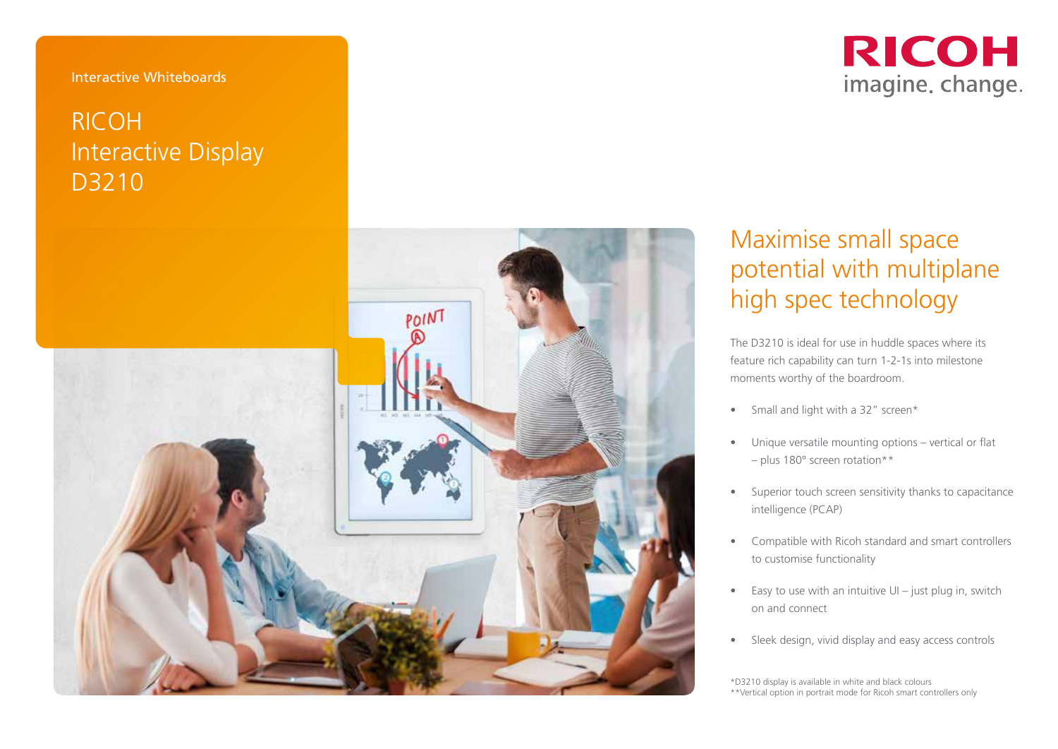#### Interactive Whiteboards

# RICOH Interactive Display D3210



# Maximise small space potential with multiplane high spec technology

The D3210 is ideal for use in huddle spaces where its feature rich capability can turn 1-2-1s into milestone moments worthy of the boardroom.

- Small and light with a 32" screen\*
- Unique versatile mounting options vertical or flat – plus 180° screen rotation\*\*
- Superior touch screen sensitivity thanks to capacitance intelligence (PCAP)
- Compatible with Ricoh standard and smart controllers to customise functionality
- Easy to use with an intuitive UI just plug in, switch on and connect
- Sleek design, vivid display and easy access controls

\*D3210 display is available in white and black colours \*\*Vertical option in portrait mode for Ricoh smart controllers only